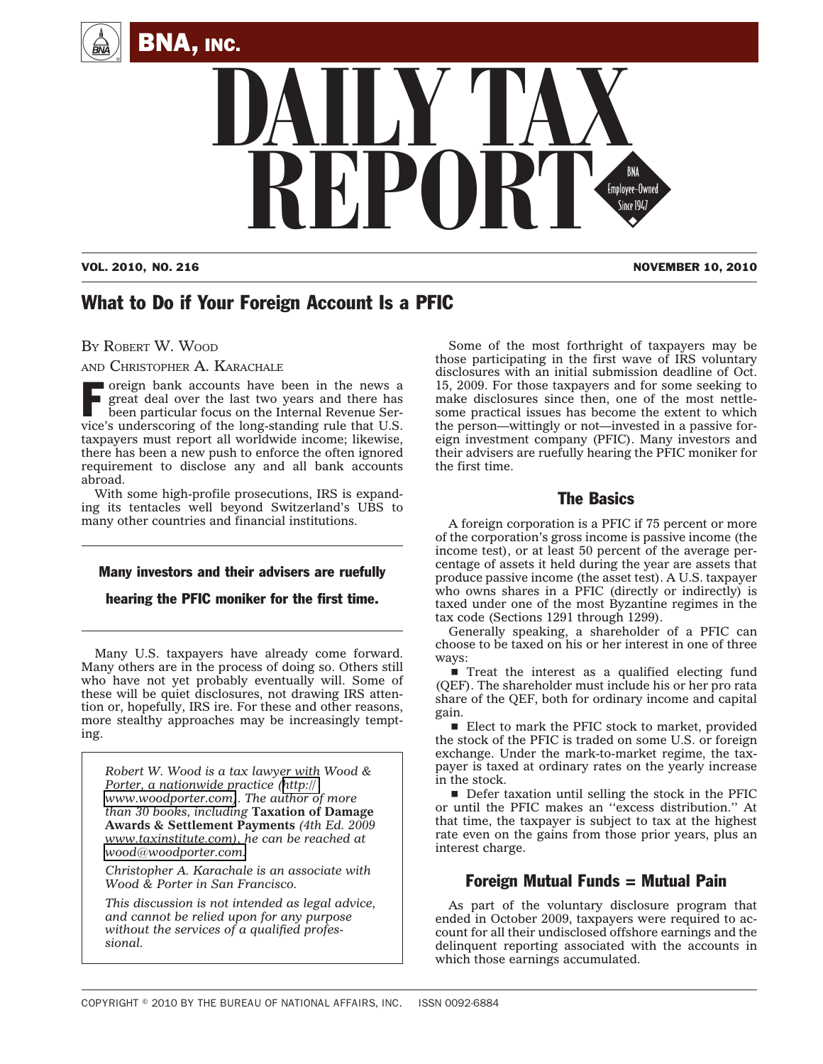



VOL. 2010, NO. 216 NOVEMBER 10, 2010

# What to Do if Your Foreign Account Is a PFIC

BY ROBERT W. WOOD

AND CHRISTOPHER A. KARACHALE

F oreign bank accounts have been in the news a<br>great deal over the last two years and there has<br>been particular focus on the Internal Revenue Ser-<br>wise's underscoving of the long standing rule that U.S. great deal over the last two years and there has been particular focus on the Internal Revenue Service's underscoring of the long-standing rule that U.S. taxpayers must report all worldwide income; likewise, there has been a new push to enforce the often ignored requirement to disclose any and all bank accounts abroad.

With some high-profile prosecutions, IRS is expanding its tentacles well beyond Switzerland's UBS to many other countries and financial institutions.

### Many investors and their advisers are ruefully

hearing the PFIC moniker for the first time.

Many U.S. taxpayers have already come forward. Many others are in the process of doing so. Others still who have not yet probably eventually will. Some of these will be quiet disclosures, not drawing IRS attention or, hopefully, IRS ire. For these and other reasons, more stealthy approaches may be increasingly tempting.

*Robert W. Wood is a tax lawyer with Wood & Porter, a nationwide practice ([http://](http://www.woodporter.com) [www.woodporter.com\)](http://www.woodporter.com). The author of more than 30 books, including* **Taxation of Damage Awards & Settlement Payments** *(4th Ed. 2009 www.taxinstitute.com), he can be reached at [wood@woodporter.com.](mailto:wood@woodporter.com)*

*Christopher A. Karachale is an associate with Wood & Porter in San Francisco.*

*This discussion is not intended as legal advice, and cannot be relied upon for any purpose without the services of a qualified professional.*

Some of the most forthright of taxpayers may be those participating in the first wave of IRS voluntary disclosures with an initial submission deadline of Oct. 15, 2009. For those taxpayers and for some seeking to make disclosures since then, one of the most nettlesome practical issues has become the extent to which the person—wittingly or not—invested in a passive foreign investment company (PFIC). Many investors and their advisers are ruefully hearing the PFIC moniker for the first time.

### The Basics

A foreign corporation is a PFIC if 75 percent or more of the corporation's gross income is passive income (the income test), or at least 50 percent of the average percentage of assets it held during the year are assets that produce passive income (the asset test). A U.S. taxpayer who owns shares in a PFIC (directly or indirectly) is taxed under one of the most Byzantine regimes in the tax code (Sections 1291 through 1299).

Generally speaking, a shareholder of a PFIC can choose to be taxed on his or her interest in one of three ways:

 $\blacksquare$  Treat the interest as a qualified electing fund (QEF). The shareholder must include his or her pro rata share of the QEF, both for ordinary income and capital gain.

 $\blacksquare$  Elect to mark the PFIC stock to market, provided the stock of the PFIC is traded on some U.S. or foreign exchange. Under the mark-to-market regime, the taxpayer is taxed at ordinary rates on the yearly increase in the stock.

 $\blacksquare$  Defer taxation until selling the stock in the PFIC or until the PFIC makes an ''excess distribution.'' At that time, the taxpayer is subject to tax at the highest rate even on the gains from those prior years, plus an interest charge.

## Foreign Mutual Funds = Mutual Pain

As part of the voluntary disclosure program that ended in October 2009, taxpayers were required to account for all their undisclosed offshore earnings and the delinquent reporting associated with the accounts in which those earnings accumulated.